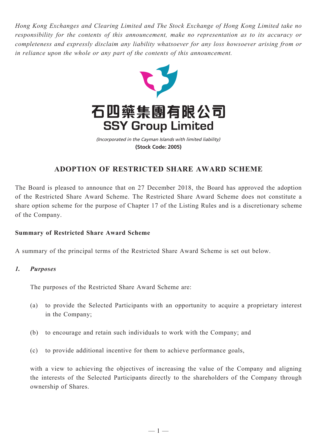*Hong Kong Exchanges and Clearing Limited and The Stock Exchange of Hong Kong Limited take no responsibility for the contents of this announcement, make no representation as to its accuracy or completeness and expressly disclaim any liability whatsoever for any loss howsoever arising from or in reliance upon the whole or any part of the contents of this announcement.*



(Incorporated in the Cayman Islands with limited liability) **(Stock Code: 2005)**

# **ADOPTION OF RESTRICTED SHARE AWARD SCHEME**

The Board is pleased to announce that on 27 December 2018, the Board has approved the adoption of the Restricted Share Award Scheme. The Restricted Share Award Scheme does not constitute a share option scheme for the purpose of Chapter 17 of the Listing Rules and is a discretionary scheme of the Company.

# **Summary of Restricted Share Award Scheme**

A summary of the principal terms of the Restricted Share Award Scheme is set out below.

#### *1. Purposes*

The purposes of the Restricted Share Award Scheme are:

- (a) to provide the Selected Participants with an opportunity to acquire a proprietary interest in the Company;
- (b) to encourage and retain such individuals to work with the Company; and
- (c) to provide additional incentive for them to achieve performance goals,

with a view to achieving the objectives of increasing the value of the Company and aligning the interests of the Selected Participants directly to the shareholders of the Company through ownership of Shares.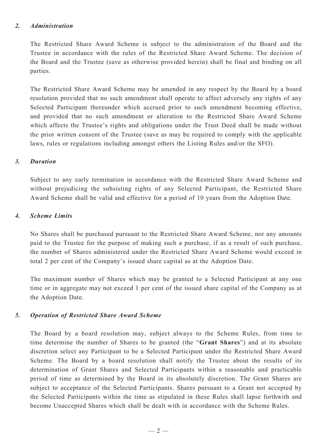#### *2. Administration*

The Restricted Share Award Scheme is subject to the administration of the Board and the Trustee in accordance with the rules of the Restricted Share Award Scheme. The decision of the Board and the Trustee (save as otherwise provided herein) shall be final and binding on all parties.

The Restricted Share Award Scheme may be amended in any respect by the Board by a board resolution provided that no such amendment shall operate to affect adversely any rights of any Selected Participant thereunder which accrued prior to such amendment becoming effective, and provided that no such amendment or alteration to the Restricted Share Award Scheme which affects the Trustee's rights and obligations under the Trust Deed shall be made without the prior written consent of the Trustee (save as may be required to comply with the applicable laws, rules or regulations including amongst others the Listing Rules and/or the SFO).

#### *3. Duration*

Subject to any early termination in accordance with the Restricted Share Award Scheme and without prejudicing the subsisting rights of any Selected Participant, the Restricted Share Award Scheme shall be valid and effective for a period of 10 years from the Adoption Date.

#### *4. Scheme Limits*

No Shares shall be purchased pursuant to the Restricted Share Award Scheme, nor any amounts paid to the Trustee for the purpose of making such a purchase, if as a result of such purchase, the number of Shares administered under the Restricted Share Award Scheme would exceed in total 2 per cent of the Company's issued share capital as at the Adoption Date.

The maximum number of Shares which may be granted to a Selected Participant at any one time or in aggregate may not exceed 1 per cent of the issued share capital of the Company as at the Adoption Date.

#### *5. Operation of Restricted Share Award Scheme*

The Board by a board resolution may, subject always to the Scheme Rules, from time to time determine the number of Shares to be granted (the "**Grant Shares**") and at its absolute discretion select any Participant to be a Selected Participant under the Restricted Share Award Scheme. The Board by a board resolution shall notify the Trustee about the results of its determination of Grant Shares and Selected Participants within a reasonable and practicable period of time as determined by the Board in its absolutely discretion. The Grant Shares are subject to acceptance of the Selected Participants. Shares pursuant to a Grant not accepted by the Selected Participants within the time as stipulated in these Rules shall lapse forthwith and become Unaccepted Shares which shall be dealt with in accordance with the Scheme Rules.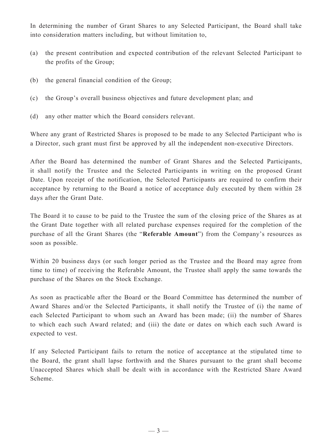In determining the number of Grant Shares to any Selected Participant, the Board shall take into consideration matters including, but without limitation to,

- (a) the present contribution and expected contribution of the relevant Selected Participant to the profits of the Group;
- (b) the general financial condition of the Group;
- (c) the Group's overall business objectives and future development plan; and
- (d) any other matter which the Board considers relevant.

Where any grant of Restricted Shares is proposed to be made to any Selected Participant who is a Director, such grant must first be approved by all the independent non-executive Directors.

After the Board has determined the number of Grant Shares and the Selected Participants, it shall notify the Trustee and the Selected Participants in writing on the proposed Grant Date. Upon receipt of the notification, the Selected Participants are required to confirm their acceptance by returning to the Board a notice of acceptance duly executed by them within 28 days after the Grant Date.

The Board it to cause to be paid to the Trustee the sum of the closing price of the Shares as at the Grant Date together with all related purchase expenses required for the completion of the purchase of all the Grant Shares (the "**Referable Amount**") from the Company's resources as soon as possible.

Within 20 business days (or such longer period as the Trustee and the Board may agree from time to time) of receiving the Referable Amount, the Trustee shall apply the same towards the purchase of the Shares on the Stock Exchange.

As soon as practicable after the Board or the Board Committee has determined the number of Award Shares and/or the Selected Participants, it shall notify the Trustee of (i) the name of each Selected Participant to whom such an Award has been made; (ii) the number of Shares to which each such Award related; and (iii) the date or dates on which each such Award is expected to vest.

If any Selected Participant fails to return the notice of acceptance at the stipulated time to the Board, the grant shall lapse forthwith and the Shares pursuant to the grant shall become Unaccepted Shares which shall be dealt with in accordance with the Restricted Share Award Scheme.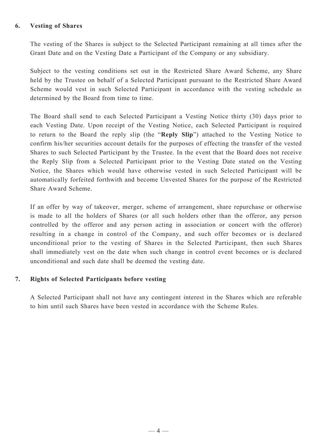#### **6. Vesting of Shares**

The vesting of the Shares is subject to the Selected Participant remaining at all times after the Grant Date and on the Vesting Date a Participant of the Company or any subsidiary.

Subject to the vesting conditions set out in the Restricted Share Award Scheme, any Share held by the Trustee on behalf of a Selected Participant pursuant to the Restricted Share Award Scheme would vest in such Selected Participant in accordance with the vesting schedule as determined by the Board from time to time.

The Board shall send to each Selected Participant a Vesting Notice thirty (30) days prior to each Vesting Date. Upon receipt of the Vesting Notice, each Selected Participant is required to return to the Board the reply slip (the "**Reply Slip**") attached to the Vesting Notice to confirm his/her securities account details for the purposes of effecting the transfer of the vested Shares to such Selected Participant by the Trustee. In the event that the Board does not receive the Reply Slip from a Selected Participant prior to the Vesting Date stated on the Vesting Notice, the Shares which would have otherwise vested in such Selected Participant will be automatically forfeited forthwith and become Unvested Shares for the purpose of the Restricted Share Award Scheme.

If an offer by way of takeover, merger, scheme of arrangement, share repurchase or otherwise is made to all the holders of Shares (or all such holders other than the offeror, any person controlled by the offeror and any person acting in association or concert with the offeror) resulting in a change in control of the Company, and such offer becomes or is declared unconditional prior to the vesting of Shares in the Selected Participant, then such Shares shall immediately vest on the date when such change in control event becomes or is declared unconditional and such date shall be deemed the vesting date.

#### **7. Rights of Selected Participants before vesting**

A Selected Participant shall not have any contingent interest in the Shares which are referable to him until such Shares have been vested in accordance with the Scheme Rules.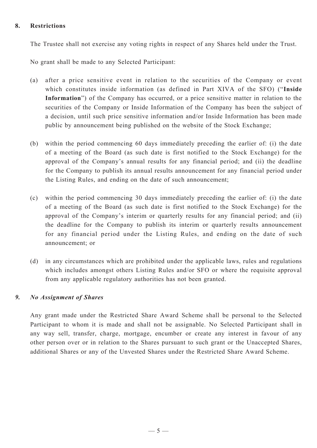## **8. Restrictions**

The Trustee shall not exercise any voting rights in respect of any Shares held under the Trust.

No grant shall be made to any Selected Participant:

- (a) after a price sensitive event in relation to the securities of the Company or event which constitutes inside information (as defined in Part XIVA of the SFO) ("**Inside Information**") of the Company has occurred, or a price sensitive matter in relation to the securities of the Company or Inside Information of the Company has been the subject of a decision, until such price sensitive information and/or Inside Information has been made public by announcement being published on the website of the Stock Exchange;
- (b) within the period commencing 60 days immediately preceding the earlier of: (i) the date of a meeting of the Board (as such date is first notified to the Stock Exchange) for the approval of the Company's annual results for any financial period; and (ii) the deadline for the Company to publish its annual results announcement for any financial period under the Listing Rules, and ending on the date of such announcement;
- (c) within the period commencing 30 days immediately preceding the earlier of: (i) the date of a meeting of the Board (as such date is first notified to the Stock Exchange) for the approval of the Company's interim or quarterly results for any financial period; and (ii) the deadline for the Company to publish its interim or quarterly results announcement for any financial period under the Listing Rules, and ending on the date of such announcement; or
- (d) in any circumstances which are prohibited under the applicable laws, rules and regulations which includes amongst others Listing Rules and/or SFO or where the requisite approval from any applicable regulatory authorities has not been granted.

#### *9. No Assignment of Shares*

Any grant made under the Restricted Share Award Scheme shall be personal to the Selected Participant to whom it is made and shall not be assignable. No Selected Participant shall in any way sell, transfer, charge, mortgage, encumber or create any interest in favour of any other person over or in relation to the Shares pursuant to such grant or the Unaccepted Shares, additional Shares or any of the Unvested Shares under the Restricted Share Award Scheme.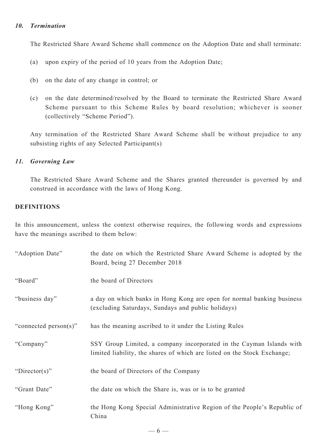## *10. Termination*

The Restricted Share Award Scheme shall commence on the Adoption Date and shall terminate:

- (a) upon expiry of the period of 10 years from the Adoption Date;
- (b) on the date of any change in control; or
- (c) on the date determined/resolved by the Board to terminate the Restricted Share Award Scheme pursuant to this Scheme Rules by board resolution; whichever is sooner (collectively "Scheme Period").

Any termination of the Restricted Share Award Scheme shall be without prejudice to any subsisting rights of any Selected Participant(s)

#### *11. Governing Law*

The Restricted Share Award Scheme and the Shares granted thereunder is governed by and construed in accordance with the laws of Hong Kong.

# **DEFINITIONS**

In this announcement, unless the context otherwise requires, the following words and expressions have the meanings ascribed to them below:

| "Adoption Date"       | the date on which the Restricted Share Award Scheme is adopted by the<br>Board, being 27 December 2018                                           |
|-----------------------|--------------------------------------------------------------------------------------------------------------------------------------------------|
| "Board"               | the board of Directors                                                                                                                           |
| "business day"        | a day on which banks in Hong Kong are open for normal banking business<br>(excluding Saturdays, Sundays and public holidays)                     |
| "connected person(s)" | has the meaning ascribed to it under the Listing Rules                                                                                           |
| "Company"             | SSY Group Limited, a company incorporated in the Cayman Islands with<br>limited liability, the shares of which are listed on the Stock Exchange; |
| "Director(s)"         | the board of Directors of the Company                                                                                                            |
| "Grant Date"          | the date on which the Share is, was or is to be granted                                                                                          |
| "Hong Kong"           | the Hong Kong Special Administrative Region of the People's Republic of<br>China                                                                 |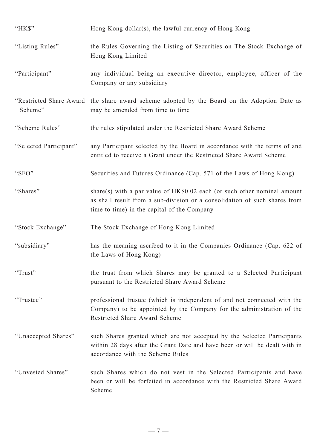| "HK\$"                 | Hong Kong dollar(s), the lawful currency of Hong Kong                                                                                                                                                  |
|------------------------|--------------------------------------------------------------------------------------------------------------------------------------------------------------------------------------------------------|
| "Listing Rules"        | the Rules Governing the Listing of Securities on The Stock Exchange of<br>Hong Kong Limited                                                                                                            |
| "Participant"          | any individual being an executive director, employee, officer of the<br>Company or any subsidiary                                                                                                      |
| Scheme"                | "Restricted Share Award the share award scheme adopted by the Board on the Adoption Date as<br>may be amended from time to time                                                                        |
| "Scheme Rules"         | the rules stipulated under the Restricted Share Award Scheme                                                                                                                                           |
| "Selected Participant" | any Participant selected by the Board in accordance with the terms of and<br>entitled to receive a Grant under the Restricted Share Award Scheme                                                       |
| "SFO"                  | Securities and Futures Ordinance (Cap. 571 of the Laws of Hong Kong)                                                                                                                                   |
| "Shares"               | share(s) with a par value of $HK$0.02$ each (or such other nominal amount<br>as shall result from a sub-division or a consolidation of such shares from<br>time to time) in the capital of the Company |
| "Stock Exchange"       | The Stock Exchange of Hong Kong Limited                                                                                                                                                                |
| "subsidiary"           | has the meaning ascribed to it in the Companies Ordinance (Cap. 622 of<br>the Laws of Hong Kong)                                                                                                       |
| "Trust"                | the trust from which Shares may be granted to a Selected Participant<br>pursuant to the Restricted Share Award Scheme                                                                                  |
| "Trustee"              | professional trustee (which is independent of and not connected with the<br>Company) to be appointed by the Company for the administration of the<br>Restricted Share Award Scheme                     |
| "Unaccepted Shares"    | such Shares granted which are not accepted by the Selected Participants<br>within 28 days after the Grant Date and have been or will be dealt with in<br>accordance with the Scheme Rules              |
| "Unvested Shares"      | such Shares which do not vest in the Selected Participants and have<br>been or will be forfeited in accordance with the Restricted Share Award<br>Scheme                                               |